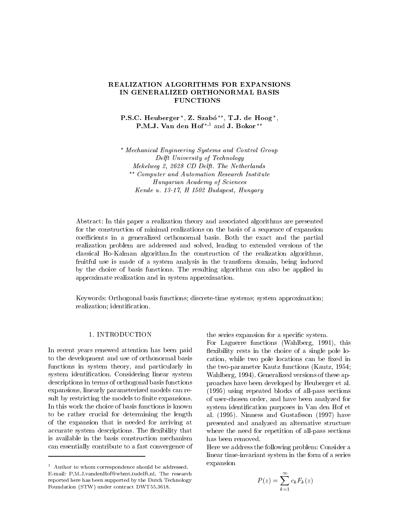# REALIZATION ALGORITHMS FOR EXPANSIONS IN GENERALIZED ORTHONORMAL BASIS FUNCTIONS

# P.S.C. Heuberger \*, Z. Szabó \*\*, T.J. de Hoog \*, P.M.J. Van den Hof\*<sup>,1</sup> and J. Bokor \*\*

 Mechanical Engineering Systems and Control Group Delft University of Technology Mekelweg - -- CD Delft The Netherlands Computer and Automation Research Institute Hungarian Academy of Sciences Kende u H - Budapest Hungary

Abstract- In this paper a realization theory and associated algorithms are presented for the construction of minimal realizations on the basis of a sequence of expansion coefficients in a generalized orthonormal basis. Both the exact and the partial realization problem are addressed and solved, leading to extended versions of the classical Ho-Kalman algorithm.In the construction of the realization algorithms, fruitful use is made of a system analysis in the transform domain, being induced by the choice of basis functions The resulting algorithms can also be applied in approximate realization and in system approximation

Keywords- Orthogonal basis functions discretetime systems system approximation realization; identification.

### 1. INTRODUCTION

In recent years renewed attention has been paid to the development and use of orthonormal basis functions in system theory, and particularly in system identification. Considering linear system descriptions in terms of orthogonal basis functions expansions, linearly parameterized models can result by restricting the models to finite expansions. In this work the choice of basis functions is known to be rather crucial for determining the length of the expansion that is needed for arriving at accurate system descriptions. The flexibility that is available in the basis construction mechanism can essentially contribute to <sup>a</sup> fast convergence of the series expansion for a specific system.

For Laguerre functions Wahlberg  this flexibility rests in the choice of a single pole location, while two pole locations can be fixed in the two products functions are two products functions of two products functions of two products functions of two Wahlberg, 1994). Generalized versions of these approaches have been developed by Heuberger et al  $v$  and all pass sections sections sections sections sections sections sections sections sections sections sections sections of  $\mathbb{R}^n$ of user-chosen order, and have been analyzed for system identification purposes in Van den Hof et al alternative contracts and alternative contracts of the contracts of the contracts of the contracts of the contracts of the contracts of the contracts of the contracts of the contracts of the contracts of the contracts o presented and analyzed an alternative structure where the need for repetition of all-pass sections has been removed

Here we address the following problem- Consider a linear time-invariant system in the form of a series expansion

$$
P(z) = \sum_{k=1}^{\infty} c_k F_k(z)
$$

Author to whom correspondence should be addressedreported here has been supported by the Dutch Technology  $\mathbf{F}$  and  $\mathbf{F}$  and  $\mathbf{F}$  and  $\mathbf{F}$  and  $\mathbf{F}$  and  $\mathbf{F}$  and  $\mathbf{F}$  and  $\mathbf{F}$  and  $\mathbf{F}$  and  $\mathbf{F}$  and  $\mathbf{F}$  and  $\mathbf{F}$  and  $\mathbf{F}$  and  $\mathbf{F}$  and  $\mathbf{F}$  and  $\mathbf{F}$  and  $\mathbf{F}$  and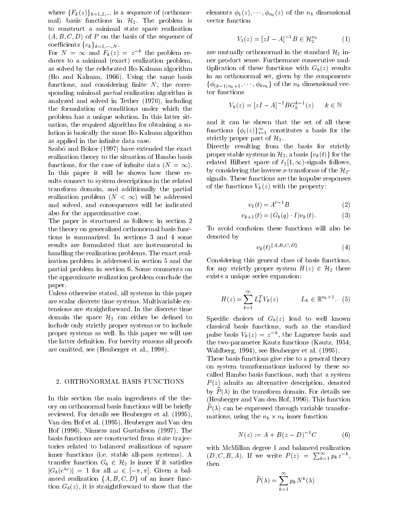where  ${F_k(z)}_{k=1,2,\cdots}$  is a sequence of (orthonor-  $\epsilon$ mal) basis functions in  $\mathcal{H}_2$ . The problem is to construct a minimal state space realization  $\mathcal{A}$  - and the sequence of the sequence of the sequence of the sequence of the sequence of the sequence of the sequence of the sequence of the sequence of the sequence of the sequence of the sequence of the sequence o coefficients  $\{c_k\}_{k=1,\cdots,N}$ .

For  $N = \infty$  and  $F_k(z) = z^{-k}$  the problem re- are m duces to a minimal problem of the minimal problem  $\mathbf{r}$ as solved by the celebrated Ho-Kalman algorithm  $\mathcal{H}$  and  $\mathcal{H}$  and  $\mathcal{H}$  and  $\mathcal{H}$  and  $\mathcal{H}$  and  $\mathcal{H}$  and  $\mathcal{H}$  and  $\mathcal{H}$  and  $\mathcal{H}$  and  $\mathcal{H}$  and  $\mathcal{H}$  and  $\mathcal{H}$  and  $\mathcal{H}$  and  $\mathcal{H}$  and  $\mathcal{H}$  and  $\mathcal{H}$  and  $\mathcal{H}$  and functions, and considering finite  $N$ , the corresponding minimal partial realization algorithm is and a solved in Tether and Section . In Tether , we can see the  $\lambda$ the formulation of conditions under which the problem has a unique solution In this latter sit uation, the required algorithm for obtaining a solution is basically the same Ho-Kalman algorithm as applied in the infinite data case.

 $\mathbb{R}$  . So and Bokor  $\mathbb{R}$  and Bokor  $\mathbb{R}$  and Bokor  $\mathbb{R}$  and Bokor  $\mathbb{R}$  and Bokor  $\mathbb{R}$  and Bokor  $\mathbb{R}$ realization theory to the situation of Hambo basis functions, for the case of infinite data  $(N = \infty)$ . In this paper it will be shown how these re sults connect to system descriptions in the related transform domain, and additionally the partial realization problem ( $N < \infty$ ) will be addressed and solved, and consequences will be indicated also for the approximative case

The paper is structured as follows- in section the theory on generalized orthonormal basis func tions is summarized. In sections 3 and 4 some results are formulated that are instrumental in handling the realization problems. The exact realization problem is addressed in section 5 and the partial problem in section 6. Some comments on the approximate realization problem conclude the paper

Unless otherwise stated, all systems in this paper are scalar discrete time systems Multivariable ex tensions are straightforward In the discrete time domain the space  $\mathcal{H}_2$  can either be defined to include only strictly proper systems or to include proper systems as well In this paper we will use the latter definition. For brevity reasons all proofs are omitted see all are omitted see all and the see all are of the see all and the see all are of the see all a

### ORTHONORMAL BASIS FUNCTIONS

In this section the main ingredients of the the ory on orthonormal basis functions will be briefly reviewed For details see Heuberger et al  Van den Hof et al  Heuberger and Van den ers (efter), francess and Gustafsson (efter), reduc basis functions are constructed from state trajectories related to balanced realizations of square inner functions and all particles are the system of the stability of the stability of the system of the stability of the stability of the stability of the stability of the stability of the stability of the stability of the transfer function  $G_b \in \mathcal{H}_2$  is inner if it satisfies then  $|G_b(e^{i\omega})| = 1$  for all  $\omega \in [-\pi, \pi]$ . Given a balanced realization  $\{A, B, C, D\}$  of an inner func- $\sim$  0 is straightforward to show that the show that the show that the show that the show that the show that the show that the show that the show that the show that the show that the show that the show that the show that

elements  $\varphi_1(z), \cdots, \varphi_{n_b}(z)$  of the  $n_b$  dimensional vector function

$$
V_1(z) = [zI - A]^{-1}B \in \mathcal{H}_2^{n_b} \tag{1}
$$

are mutually orthonormal in the standard  $\mathcal{H}_2$  inner product sense Furthermore consecutive mul  $\mathcal{L}$  tiplication of the set of the set of the set  $\mathcal{L}$  ,  $\mathcal{L}$  and  $\mathcal{L}$  and  $\mathcal{L}$ in an orthonormal set, given by the components  $\{\phi_{(k-1)n_b+1}, \cdots, \phi_{kn_b}\}\$  of the  $n_b$  dimensional vector functions

$$
V_k(z) = [zI - A]^{-1}BG_b^{k-1}(z) \qquad k \in \mathbb{N}
$$

and it can be shown that the set of all these functions  $\{\phi_i(z)\}_{i=1}^{\infty}$  constitutes a basis for the strictly proper part of  $\mathcal{H}_2$ .

Directly resulting from the basis for strictly proper stable systems in  $\mathcal{H}_2,$  a basis  $\{v_k(t)\}$  for the related Hilbert space of  $\ell_2|1,\infty$ -signals follows, by considering the inverse z-transforms of the  $\mathcal{H}_2$ signals These functions are the impulse responses  $\mathbb{R}^n$  with the property-dimensions  $\mathbb{R}^n$  and  $\mathbb{R}^n$ 

$$
v_1(t) = A^{t-1}B\tag{2}
$$

$$
v_{k+1}(t) = (G_b(q) \cdot I)v_k(t).
$$
 (3)

To avoid confusion these functions will also be denoted by

$$
v_k(t)^{\{A,B,C,D\}}\tag{4}
$$

Considering this general class of basis functions for any strictly proper system  $H(z) \in \mathcal{H}_2$  there exists a unique series expansion:

$$
H(z) = \sum_{k=1}^{\infty} L_k^T V_k(z) \qquad L_k \in \mathbb{R}^{n_b \times 1}.
$$
 (5)

 $S$  processes of  $S$  and  $S$  and  $S$  and  $S$  are completed to the contract of  $S$  and  $S$  and  $S$  and  $S$  and  $S$  and  $S$  and  $S$  and  $S$  and  $S$  and  $S$  and  $S$  and  $S$  and  $S$  and  $S$  and  $S$  and  $S$  and  $S$  and  $S$  and classical basis functions, such as the standard pulse basis  $V_k(z) = z^{-k}$ , the Laguerre basis and the twoparameter Kautz functions Kautz Wahlberg  see Heuberger et al 

These basis functions give rise to a general theory on system transformations induced by these so called Hambo basis functions, such that a system – (), admitsion and an alternative description description description description of the second contract of the second contract of the second contract of the second contract of the second contract of the second contract o  $\sigma$   $\bf{v}$   $\bf{r}$  in the transform domain. For details see  $\mathcal{L}$  , and the  $\mathcal{L}$  - this function density function function and  $\mathcal{L}$  $I$  ( $\Delta$ ) can be expressed through variable transformation mations, using the  $n_b \times n_b$  inner function

$$
N(z) := A + B(z - D)^{-1}C \tag{6}
$$

with McMillan degree 1 and balanced realization  $(D, C, B, A)$ . If we write  $P(z) = \sum_{k=1}^{\infty} p_k z^{-k}$ , **The Community of the Community** 

$$
\widetilde{P}(\lambda)=\sum_{k=1}^{\infty}p_{k}N^{k}(\lambda)
$$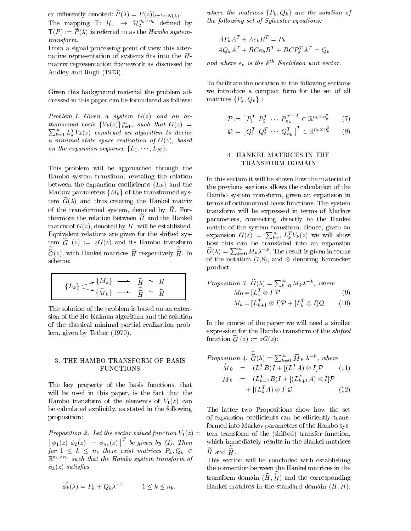or differently denoted:  $P(\lambda) = P(z)|_{z^{-1} = N(\lambda)}$ . The mapping  $\textsf{T}: \ \mathcal{H}_2 \ \rightarrow \ \mathcal{H}_2^{n_b \times n_b}$  defined by  $e^{in\theta}$ .  $\Gamma(T) = I \langle A \rangle$  is referred to as the Hambo systemtransform

From a signal processing point of view this alter native representation of systems fits into the  $H$ matrix representation framework as discussed by  $\mathbf{A} = \mathbf{A} \mathbf{A}$ 

Given this background material the problem ad dressed in this paper can be formulated as follows:

Problem Given a system G z and an or thonormal basis  ${V_k(z)}_{k=1}^{\infty}$ , such that  $G(z)$  =  $\sum_{k=1}^{\infty} L_k^TV_k(z)$  construct an algorithm to derive ka minimum state space realization of Griss, rates and on the expansion sequence  $\{L_1, \dots, L_N\}$ .

This problem will be approached through the Hambo system transform, revealing the relation between the expansion coefficients  ${L_k}$  and the Markov parameters  $\{M_k\}$  of the transformed sys- $\text{term}$   $G(N)$  and thus creating the Hankel matrix  $\epsilon$   $\epsilon$ of the transformed system, denoted by  $\widetilde{H}$ . Furthermore the relation between  $\tilde{H}$  and the Hankel matrix of G z denoted by H will be established Equivalent relations are given for the shifted sys tem  $G(z) := zG(z)$  and its Hambo transform bow this  $G(z)$ , with Hankel matrices H respectively H. In  $G(\lambda)$ scheme:

$$
\{L_k\} \longrightarrow \{M_k\} \longrightarrow \widetilde{\tilde{H}} \sim H
$$

$$
\{\tilde{M}_k\} \longrightarrow \widetilde{\tilde{H}} \sim \tilde{H}
$$

The solution of the problem is based on an exten sion of the Ho-Kalman algorithm and the solution of the classical minimal partial realization prob lem given by Tether 

## 3. THE HAMBO TRANSFORM OF BASIS FUNCTIONS

The key property of the basis functions, that will be used in this paper, is the fact that the Hambo transform of the elements of  $\pm \sqrt{2}$ be calculated explicitly, as stated in the following proposition:

Proposition - Let the vector valued function V  $\left[\phi_1(z) \phi_2(z) \cdots \phi_{n_b}(z)\right]^T$  be given by (1). Then which for  $1 \leq k \leq n_b$  there exist matrices  $P_k, Q_k \in$  $\mathbb{R}^{n_b \times n_b}$  such that the Hambo system transform of  $\mu$  is the same satisfied of  $\mu$ 

$$
\widetilde{\phi_k}(\lambda) = P_k + Q_k \lambda^{-1} \qquad 1 \le k \le n_b.
$$

where the matrices  $\{P_k,Q_k\}$  are the solution of the following set of Sylvester equations:

$$
AP_k A^T + Ae_k B^T = P_k
$$
  

$$
AQ_k A^T + BCe_k B^T + BCP_k^T A^T = Q_k
$$

and where  $e_k$  is the  $k^{th}$  Euclidean unit vector.

matrices  $\{P_k, Q_k\}$ : To facilitate the notation in the following sections we introduce a compact form for the set of all

$$
\mathcal{P} := \left[ \begin{array}{ccc} P_1^T & P_2^T & \cdots & P_{n_b}^T \end{array} \right]^T \in \mathbb{R}^{n_b \times n_b^2} \qquad (7)
$$

$$
\mathcal{Q} := \left[ \ Q_1^T \ Q_2^T \ \cdots \ Q_{n_b}^T \ \right]^T \in \mathbb{R}^{n_b \times n_b^2} \tag{8}
$$

### HANKEL MATRICES IN THE TRANSFORM DOMAIN

In this section it will be shown how the material of the previous sections allows the calculation of the Hambo system transform, given an expansion in terms of orthonormal basis functions The system transform will be expressed in terms of Markov parameters, connecting directly to the Hankel matrix of the system transform. Hence, given an expansion  $G(z) = \sum_{k=1}^{\infty} L_k^T V_k(z)$  we will show how this can be translated into an expansion of the translated into an expansion of the translated into an exp  $G(\lambda) = \sum_{k=0}^{\infty} M_k \lambda^{-k}$ . The result is given in terms of the notation  $(7,8)$ , and  $\otimes$  denoting Kronecker product

*Proposition 3.* 
$$
\widetilde{G}(\lambda) = \sum_{k=0}^{\infty} M_k \lambda^{-k}
$$
, where  
\n
$$
M_0 = [L_1^T \otimes I] \mathcal{P}
$$
\n
$$
M_k = [L_{k+1}^T \otimes I] \mathcal{P} + [L_k^T \otimes I] \mathcal{Q}
$$
\n(10)

In the course of the paper we will need a similar expression for the Hambo transform of the *shifted* function  $G(z) := zG(z)$ :

$$
Proposition 4. \widetilde{G}(\lambda) = \sum_{k=0}^{\infty} \widetilde{M}_k \lambda^{-k}, \text{ where}
$$
  
\n
$$
\widetilde{M}_0 = (L_1^T B)I + [(L_1^T A) \otimes I] \mathcal{P} \qquad (11)
$$
  
\n
$$
\widetilde{M}_k = (L_{k+1}^T B)I + [(L_{k+1}^T A) \otimes I] \mathcal{P} + [(L_k^T A) \otimes I] \mathcal{Q} \qquad (12)
$$

 $\tau$  , the transfer of the function  $\mu$  transfer functions  $\tau$  $Q_k \in H$  and  $H$ . The latter two Propositions show how the set of expansion coefficients can be efficiently transformed into Markov parameters of the Hambo sys which immediately results in the Hankel matrices

> This section will be concluded with establishing the connection between the Hankel matrices in the transform domain  $(H, H)$  and the corresponding Hankel matrices in the standard domain  $(H, H)$ .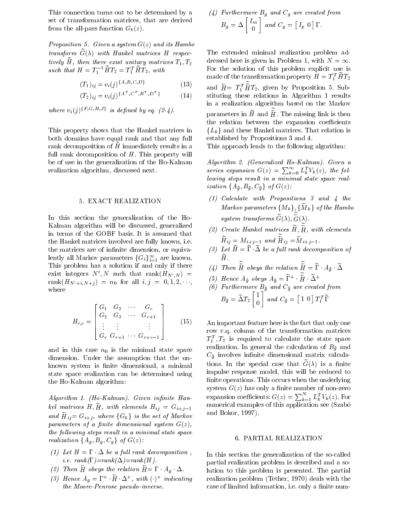This connection turns out to be determined by a set of transformation matrices, that are derived from the allpass function Gb z

representative a system Graph and its Hambourg and its Hambourg and its Hambourg and its Hambourg and its Hambourg and its Hambourg and Its Hambourg and Its Hambourg and Its Hambourg and Its Hambourg and Its Hambourg and I  $u$  ansform  $G(\lambda)$  with Hankel matrices H respectively tively  $H$ , then there exist unitary matrices  $H_1, H_2$ such that  $H = T_1^{-1} H T_2 = T_1^T H T_2$ , with

$$
(T_1)_{ij} = v_i(j)^{\{A, B, C, D\}} \tag{13}
$$

$$
(T_2)_{ij} = v_i(j)^{\{A^T, C^T, B^T, D^T\}} \tag{14}
$$

where  $v_i(j)$  {F,G,H,J} is defined by eq. (2-4).

This property shows that the Hankel matrices in both domains have equal rank and that any full rank decomposition of  $H$  immediately results in a full rank decomposition of  $H$ . This property will be of use in the generalization of the Ho-Kalman realization algorithm, discussed next.

#### EXACT REALIZATION

In this section the generalization of the Ho Kalman algorithm will be discussed, generalized in terms of the GOBF basis It is assumed that the Hankel matrices involved are fully known, i.e. the matrices are of infinite dimension, or equivalently all Markov parameters  $\{G_i\}_{i=1}^{\infty}$  are known. This problem is a solution if there is a solution if  $\mu$ exist integers  $N', N$  such that  $rank(H_{N',N}) = \bigcup_{i=1}^{N}$  $\lim_{t \to \infty} (H_N + i N + i) = n_0$  for all  $i, j = 0, 1, 2, \dots$ where

$$
H_{r,c} = \begin{bmatrix} G_1 & G_2 & \cdots & G_c \\ G_2 & G_3 & \cdots & G_{c+1} \\ \vdots & \vdots & & \vdots \\ G_r & G_{r+1} & \cdots & G_{r+c-1} \end{bmatrix}
$$
 (15)

and in this case  $n_0$  is the minimal state space dimension Under the assumption that the un known system is finite dimensional, a minimal state space realization can be determined using the Ho-Kalman algorithm:

Algorithm 1. (Ho-Kalman). Given infinite Hankel matrices H, H, with elements  $H_{ii} = G_{i+i-1}$ and  $H_{ij} = G_{i+j}$ , where  $\{G_k\}$  is the set of Markov  $\qquad$ parameters of a nite dimensional system G z the following steps result in a minimal state space realization  $\{A_g, B_g, C_g\}$  of  $G(z)$ :

- (1) Let  $H = \Gamma \cdot \Delta$  be a full rank decomposition, *i.e.*  $rank(\Gamma)=rank(\Delta)=rank(H)$ .
- (2) Then H obeys the relation  $H = \Gamma \cdot A_g \cdot \Delta$ .
- (3) Hence  $A_q = \Gamma^+$  H  $\Delta^+$ , with ( )<sup>+</sup> indicating rea  $the\ Moore-Penrose\ pseudo-inverse.$

(4) Furthermore 
$$
B_g
$$
 and  $C_g$  are created from  
\n
$$
B_g = \Delta \begin{bmatrix} I_m \\ 0 \end{bmatrix} and C_g = \begin{bmatrix} I_p & 0 \end{bmatrix} \Gamma.
$$

 $\mathbf{H} = T_1^T H T_2$ , given by Proposition 5. Substituting these relations in Algorithm in Algorithm relations in Algorithm relations in Algorithm relations  $\mathcal{L}(\mathbf{A})$ The extended minimal realization problem ad dressed here is given in Problem 1, with  $N = \infty$ . For the solution of this problem explicit use is made of the transformation property  $H = I_1 H I_2$ in a realization algorithm based on the Markov parameters in H and  $H$ . The missing link is then the relation between the expansion coefficients  ${L_k}$  and these Hankel matrices. That relation is established by Propositions 3 and 4.

This approach leads to the following algorithm:

algorithm at power and all almost the second or the second the series expansion  $G(z) = \sum_{k=0}^{\infty} L_k^T V_k(z)$ , the following steps result in a minimal state space real ization  $\{A_{\bar{g}}, B_{\bar{g}}, C_{\bar{g}}\}$  of  $G(z)$ :

- $(1)$  Calculate with Propositions 3 and 4 the Markov parameters  $\{M_k\}, \{M_k\}$  of the Hambo system transforms  $G(\lambda)$ ,  $G(\lambda)$ .
- $(2)$  Create Hankel matrices H, H, with elements  $H_{ij} = M_{i+j-1}$  and  $H_{ij} = M_{i+j-1}$ .
- $\Box$  Let  $H = 1$   $\Delta$  be a full fully decomposition of  $H_{\rm H}$  and  $H_{\rm H}$
- (4) Then H obeys the relation  $H = \Gamma \cdot A_{\bar{a}} \cdot \Delta$
- (5) Hence  $A_{\bar{a}}$  obeys  $A_{\bar{a}} = \Gamma^+ \cdot H \cdot \Delta^+$
- $B_{\tilde{g}} = \tilde{\Delta} T_2 \begin{bmatrix} 1 \\ 0 \end{bmatrix}$  and  $C_{\tilde{g}} = \begin{bmatrix} 1 & 0 \end{bmatrix} T_1^T \tilde{\Gamma}$

$$
B_{\tilde{g}}=\widetilde{\Delta} T_2\begin{bmatrix}1\\0\end{bmatrix}\ and\ C_{\tilde{g}}=\begin{bmatrix}1&0\end{bmatrix}T_1^T\widetilde{\Gamma}
$$

 $\Box$  . The important reature nere is the fact that only one row c.q. column of the transformation matrices  $I_1^-, I_2^-$  is required to calculate the state space realization. In general the calculation of  $B_{\bar{g}}$  and  $C_{\bar{a}}$  involves infinite dimensional matrix calcula $t$  tions. In the special case that  $G(\Lambda)$  is a ninte impulse response model, this will be reduced to finite operations. This occurs when the underlying system G (s) mass comply to manager of nonzero and nonzero control expansion coefficients:  $G(z) = \sum_{k=1}^{N} L_k^T V_k(z)$ . For numerical examples of the samples of the samples of the samples of the samples of the samples of the samples o and Bokor, 1997).

### PARTIAL REALIZATION

In this section the generalization of the so-called partial realization problem is described and a so lution to this problem is presented. The partial realization problem Tether  deals with the case of limited information, i.e. only a finite num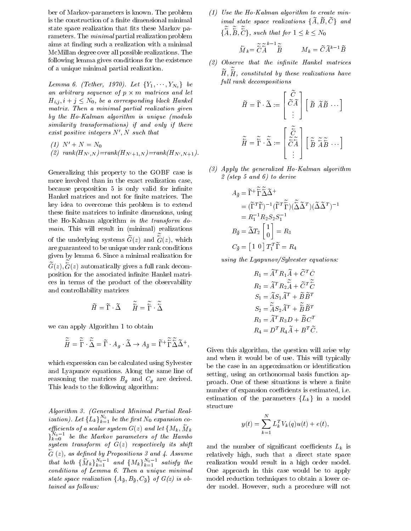ber of Markov-parameters is known. The problem is the construction of a finite dimensional minimal state space realization that fits these Markov parameters. The *minimal* partial realization problem aims at finding such a realization with a minimal McMillan degree over all possible realizations The following lemma gives conditions for the existence of a unique minimal partial realization

Lemma 6. (Tether, 1970). Let  $\{Y_1, \cdots, Y_{N_0}\}$  be an arbitrary sequence of  $p \times m$  matrices and let  $H_{i,j}, i+j \leq N_0$ , be a corresponding block Hankel matrix. Then a minimal partial realization given by the Ho-Kalman algorithm is unique  $(module)$ similarity transformations) if and only if there exist positive integers  $N', N$  such that

(1) 
$$
N' + N = N_0
$$
  
(2) rank $(H_{N',N}) = rank(H_{N'+1,N}) = rank(H_{N',N+1}).$ 

Generalizing this property to the GOBF case is more involved than in the exact realization case because proposition 5 is only valid for infinite Hankel matrices and not for finite matrices. The key idea to overcome this problem is to extend these finite matrices to infinite dimensions, using the Ho-Kalman algorithm in the transform  $do$ minimal this will realize the quadranteers, comparative and of the underlying systems  $G(z)$  and  $G(z)$ , which are guaranteed to be unique under rank conditions given by lemma 6. Since a minimal realization for  $G(z)$ ,  $G(z)$  automatically gives a full rank decomposition for the associated infinite Hankel matrices in terms of the product of the observability and controllability matrices

$$
\widetilde{H} = \widetilde{\Gamma} \cdot \widetilde{\Delta} \qquad \widetilde{\widetilde{H}} = \widetilde{\widetilde{\Gamma}} \cdot \widetilde{\widetilde{\Delta}}
$$

we can apply Algorithm 1 to obtain

$$
\widetilde{\overleftarrow{H}} = \widetilde{\overleftarrow{\Gamma}} \cdot \widetilde{\overleftarrow{\Delta}} = \widetilde{\Gamma} \cdot A_g \cdot \widetilde{\Delta} \to A_{\bar{g}} = \widetilde{\Gamma}^+ \widetilde{\widetilde{\Gamma}} \widetilde{\widetilde{\Delta}} \widetilde{\Delta}^+, \tag{Giv}
$$

which expression can be calculated using Sylvester and Lyapunov equations Along the same line of reasoning the matrices  $B_g$  and  $C_g$  are derived. This leads to the following algorithm:

Algorithm Generalized Minimal Partial Real ization). Let  $\{L_k\}_{k=1}^{N_0}$  be the first  $N_0$  expansion coefficients of a scalar system  $G(z)$  and let  $\{M_k, M_k\}$  $\sum_{k=0}^{N_0-1}$  be the Markov parameters of the Hambo system transform of G z respectively its shift  $G(z)$ , as define that both  $\{\overline{M}_k\}_{k=1}^{N_0-1}$  and  $\{M_k\}_{k=1}^{N_0-1}$  satisfy the real conditions of Lemma Then a unique minimal  $\mathbf{I}$ state space realization  $\{A_{\bar{g}}, B_{\bar{g}}, C_{\bar{g}}\}$  of  $G(z)$  is obtained as follows:

 $(1)$  Use the Ho-Kalman algorithm to create min $imal\ state\ space\ realizations\ \{A,B,C\}\ \ and$  $\{A, B, C\}$ , such that for  $1 \leq k \leq N_0$ 

$$
\overleftarrow{M}_k = \widetilde{\tilde{C}} \widetilde{\tilde{A}}^{k-1} \widetilde{\tilde{B}} \qquad M_k = \widetilde{C} \widetilde{A}^{k-1} \widetilde{B}
$$

- Observe that the innite Hankel matrices  $H, H,$  constituted by these realizations have full rank decompositions

$$
\widetilde{H} = \widetilde{\Gamma} \cdot \widetilde{\Delta} := \begin{bmatrix} \widetilde{C} \\ \widetilde{C} \widetilde{A} \\ \vdots \end{bmatrix} \begin{bmatrix} \widetilde{B} & \widetilde{A}\widetilde{B} & \cdots \end{bmatrix}
$$
\n
$$
\widetilde{\widetilde{H}} = \widetilde{\widetilde{\Gamma}} \cdot \widetilde{\widetilde{\Delta}} := \begin{bmatrix} \widetilde{\widetilde{C}} \\ \widetilde{\widetilde{C}} \widetilde{A} \\ \vdots \end{bmatrix} \begin{bmatrix} \widetilde{\widetilde{B}} & \widetilde{\widetilde{A}} \widetilde{B} & \cdots \end{bmatrix}
$$

 $(A)$  Apply the generalized Ho-Kalman algorithm re growth and the step of the step of the step of the step of the step of the step of the step of the step of

$$
A_{\bar{g}} = \tilde{\Gamma}^+ \tilde{\tilde{\Gamma}} \tilde{\tilde{\Delta}} \tilde{\Delta}^+
$$
  
\n
$$
= (\tilde{\Gamma}^T \tilde{\Gamma})^{-1} (\tilde{\Gamma}^T \tilde{\tilde{\Gamma}}) (\tilde{\tilde{\Delta}} \tilde{\Delta}^T) (\tilde{\Delta} \tilde{\Delta}^T)^{-1}
$$
  
\n
$$
= R_1^{-1} R_2 S_2 S_1^{-1}
$$
  
\n
$$
B_{\bar{g}} = \tilde{\Delta} T_2 \begin{bmatrix} 1 \\ 0 \end{bmatrix} = R_3
$$
  
\n
$$
C_{\bar{g}} = \begin{bmatrix} 1 & 0 \end{bmatrix} T_1^T \tilde{\Gamma} = R_4
$$

using the  $Lyapunov/Sylvester$  equations:

$$
R_1 = \widetilde{A}^T R_1 \widetilde{A} + \widetilde{C}^T \widetilde{C}
$$
  
\n
$$
R_2 = \widetilde{A}^T R_2 \widetilde{\widetilde{A}} + \widetilde{C}^T \widetilde{\widetilde{C}}
$$
  
\n
$$
S_1 = \widetilde{A} S_1 \widetilde{A}^T + \widetilde{B} \widetilde{B}^T
$$
  
\n
$$
S_2 = \widetilde{A} S_2 \widetilde{A}^T + \widetilde{B} \widetilde{B}^T
$$
  
\n
$$
R_3 = \widetilde{A}^T R_3 D + \widetilde{B} C^T
$$
  
\n
$$
R_4 = D^T R_4 \widetilde{A} + B^T \widetilde{C}.
$$

Given this algorithm, the question will arise why and when it would be of use This will typically be the case in an approximation or identification setting, using an orthonormal basis function approach. One of these situations is where a finite number of expansion coefficients is estimated, i.e. estimation of the parameters  ${L_k}$  in a model structure

$$
y(t) = \sum_{k=1}^{N} L_k^T V_k(q) u(t) + e(t),
$$

and the number of significant coefficients  $L_k$  is relatively high, such that a direct state space realization would result in a high order model One approach in this case would be to apply model reduction techniques to obtain a lower or der model. However, such a procedure will not